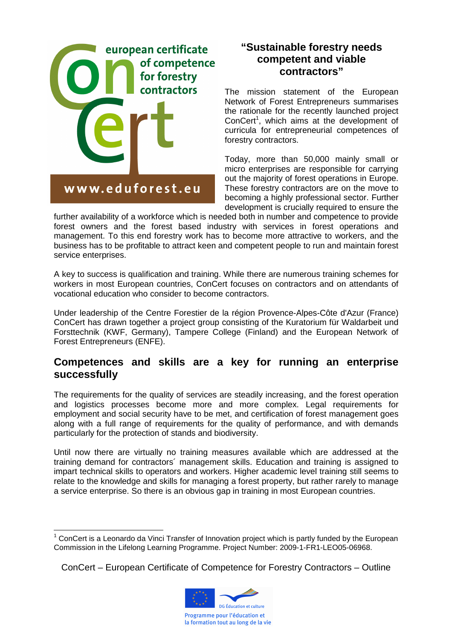

### **"Sustainable forestry needs competent and viable contractors"**

The mission statement of the European Network of Forest Entrepreneurs summarises the rationale for the recently launched project ConCert<sup>1</sup>, which aims at the development of curricula for entrepreneurial competences of forestry contractors.

Today, more than 50,000 mainly small or micro enterprises are responsible for carrying out the majority of forest operations in Europe. These forestry contractors are on the move to becoming a highly professional sector. Further development is crucially required to ensure the

further availability of a workforce which is needed both in number and competence to provide forest owners and the forest based industry with services in forest operations and management. To this end forestry work has to become more attractive to workers, and the business has to be profitable to attract keen and competent people to run and maintain forest service enterprises.

A key to success is qualification and training. While there are numerous training schemes for workers in most European countries, ConCert focuses on contractors and on attendants of vocational education who consider to become contractors.

Under leadership of the Centre Forestier de la région Provence-Alpes-Côte d'Azur (France) ConCert has drawn together a project group consisting of the Kuratorium für Waldarbeit und Forsttechnik (KWF, Germany), Tampere College (Finland) and the European Network of Forest Entrepreneurs (ENFE).

#### **Competences and skills are a key for running an enterprise successfully**

The requirements for the quality of services are steadily increasing, and the forest operation and logistics processes become more and more complex. Legal requirements for employment and social security have to be met, and certification of forest management goes along with a full range of requirements for the quality of performance, and with demands particularly for the protection of stands and biodiversity.

Until now there are virtually no training measures available which are addressed at the training demand for contractors´ management skills. Education and training is assigned to impart technical skills to operators and workers. Higher academic level training still seems to relate to the knowledge and skills for managing a forest property, but rather rarely to manage a service enterprise. So there is an obvious gap in training in most European countries.

ConCert – European Certificate of Competence for Forestry Contractors – Outline



 $\overline{a}$  $1$  ConCert is a Leonardo da Vinci Transfer of Innovation project which is partly funded by the European Commission in the Lifelong Learning Programme. Project Number: 2009-1-FR1-LEO05-06968.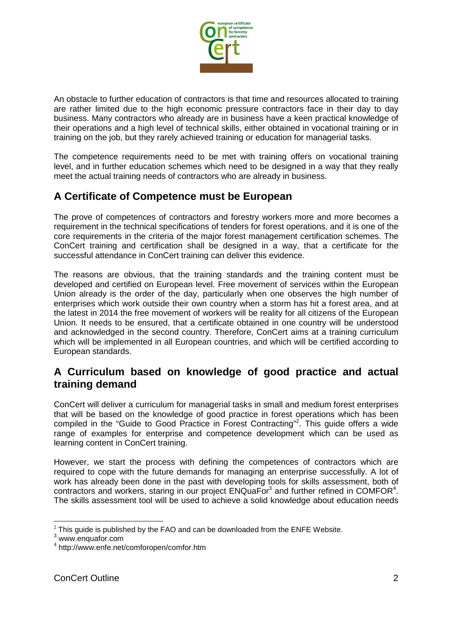

An obstacle to further education of contractors is that time and resources allocated to training are rather limited due to the high economic pressure contractors face in their day to day business. Many contractors who already are in business have a keen practical knowledge of their operations and a high level of technical skills, either obtained in vocational training or in training on the job, but they rarely achieved training or education for managerial tasks.

The competence requirements need to be met with training offers on vocational training level, and in further education schemes which need to be designed in a way that they really meet the actual training needs of contractors who are already in business.

# **A Certificate of Competence must be European**

The prove of competences of contractors and forestry workers more and more becomes a requirement in the technical specifications of tenders for forest operations, and it is one of the core requirements in the criteria of the major forest management certification schemes. The ConCert training and certification shall be designed in a way, that a certificate for the successful attendance in ConCert training can deliver this evidence.

The reasons are obvious, that the training standards and the training content must be developed and certified on European level. Free movement of services within the European Union already is the order of the day, particularly when one observes the high number of enterprises which work outside their own country when a storm has hit a forest area, and at the latest in 2014 the free movement of workers will be reality for all citizens of the European Union. It needs to be ensured, that a certificate obtained in one country will be understood and acknowledged in the second country. Therefore, ConCert aims at a training curriculum which will be implemented in all European countries, and which will be certified according to European standards.

### **A Curriculum based on knowledge of good practice and actual training demand**

ConCert will deliver a curriculum for managerial tasks in small and medium forest enterprises that will be based on the knowledge of good practice in forest operations which has been compiled in the "Guide to Good Practice in Forest Contracting"<sup>2</sup>. This guide offers a wide range of examples for enterprise and competence development which can be used as learning content in ConCert training.

However, we start the process with defining the competences of contractors which are required to cope with the future demands for managing an enterprise successfully. A lot of work has already been done in the past with developing tools for skills assessment, both of contractors and workers, staring in our project  $ENQua\overline{F}or^3$  and further refined in COMFOR<sup>4</sup>. The skills assessment tool will be used to achieve a solid knowledge about education needs

 $\overline{a}$  $2$  This guide is published by the FAO and can be downloaded from the ENFE Website.

<sup>3</sup> www.enquafor.com

<sup>4</sup> http://www.enfe.net/comforopen/comfor.htm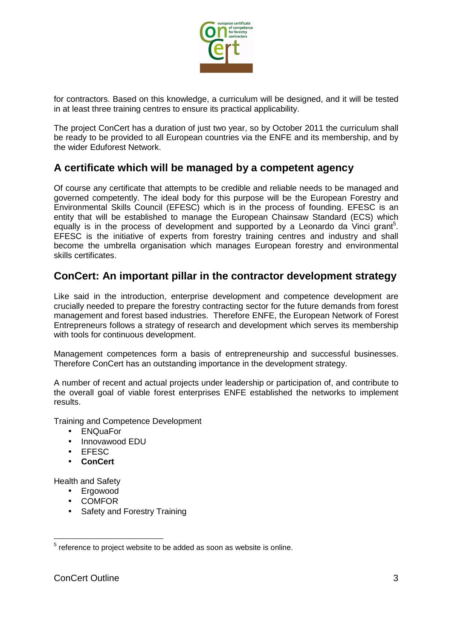

for contractors. Based on this knowledge, a curriculum will be designed, and it will be tested in at least three training centres to ensure its practical applicability.

The project ConCert has a duration of just two year, so by October 2011 the curriculum shall be ready to be provided to all European countries via the ENFE and its membership, and by the wider Eduforest Network.

### **A certificate which will be managed by a competent agency**

Of course any certificate that attempts to be credible and reliable needs to be managed and governed competently. The ideal body for this purpose will be the European Forestry and Environmental Skills Council (EFESC) which is in the process of founding. EFESC is an entity that will be established to manage the European Chainsaw Standard (ECS) which equally is in the process of development and supported by a Leonardo da Vinci grant<sup>5</sup>. EFESC is the initiative of experts from forestry training centres and industry and shall become the umbrella organisation which manages European forestry and environmental skills certificates.

# **ConCert: An important pillar in the contractor development strategy**

Like said in the introduction, enterprise development and competence development are crucially needed to prepare the forestry contracting sector for the future demands from forest management and forest based industries. Therefore ENFE, the European Network of Forest Entrepreneurs follows a strategy of research and development which serves its membership with tools for continuous development.

Management competences form a basis of entrepreneurship and successful businesses. Therefore ConCert has an outstanding importance in the development strategy.

A number of recent and actual projects under leadership or participation of, and contribute to the overall goal of viable forest enterprises ENFE established the networks to implement results.

Training and Competence Development

- ENQuaFor
- Innovawood EDU
- EFESC
- **ConCert**

Health and Safety

- Ergowood
- COMFOR
- Safety and Forestry Training

<sup>&</sup>lt;u>Fill concent consects the concenting</u><br>The added as soon as website <sup>5</sup> reference is online.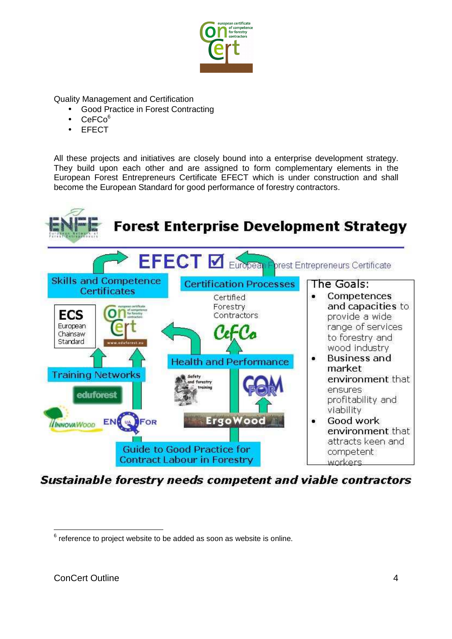

Quality Management and Certification

- Good Practice in Forest Contracting
- $CeFCo<sup>6</sup>$
- **EFECT**

All these projects and initiatives are closely bound into a enterprise development strategy. They build upon each other and are assigned to form complementary elements in the European Forest Entrepreneurs Certificate EFECT which is under construction and shall become the European Standard for good performance of forestry contractors.

![](_page_3_Figure_6.jpeg)

**Sustainable forestry needs competent and viable contractors** 

entially controlled the controlled to the added as soon as website is online.<br>The ference to project website to be added as soon as website is online.